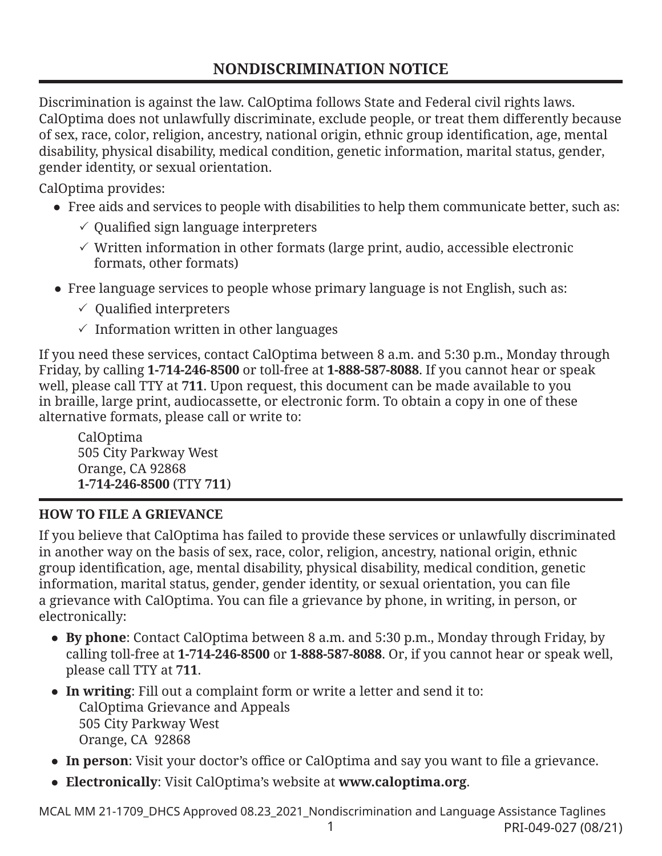# **NONDISCRIMINATION NOTICE**

Discrimination is against the law. CalOptima follows State and Federal civil rights laws. CalOptima does not unlawfully discriminate, exclude people, or treat them differently because of sex, race, color, religion, ancestry, national origin, ethnic group identification, age, mental disability, physical disability, medical condition, genetic information, marital status, gender, gender identity, or sexual orientation.

CalOptima provides:

- Free aids and services to people with disabilities to help them communicate better, such as:
	- $\checkmark$  Qualified sign language interpreters
	- $\checkmark$  Written information in other formats (large print, audio, accessible electronic formats, other formats)
- Free language services to people whose primary language is not English, such as:
	- $\checkmark$  Qualified interpreters
	- $\checkmark$  Information written in other languages

If you need these services, contact CalOptima between 8 a.m. and 5:30 p.m., Monday through Friday, by calling **1-714-246-8500** or toll-free at **1-888-587-8088**. If you cannot hear or speak well, please call TTY at **711**. Upon request, this document can be made available to you in braille, large print, audiocassette, or electronic form. To obtain a copy in one of these alternative formats, please call or write to:

CalOptima 505 City Parkway West Orange, CA 92868 **1-714-246-8500** (TTY **711**)

### **HOW TO FILE A GRIEVANCE**

If you believe that CalOptima has failed to provide these services or unlawfully discriminated in another way on the basis of sex, race, color, religion, ancestry, national origin, ethnic group identification, age, mental disability, physical disability, medical condition, genetic information, marital status, gender, gender identity, or sexual orientation, you can file a grievance with CalOptima. You can file a grievance by phone, in writing, in person, or electronically:

- **By phone**: Contact CalOptima between 8 a.m. and 5:30 p.m., Monday through Friday, by calling toll-free at **1-714-246-8500** or **1-888-587-8088**. Or, if you cannot hear or speak well, please call TTY at **711**.
- **In writing**: Fill out a complaint form or write a letter and send it to: CalOptima Grievance and Appeals 505 City Parkway West Orange, CA 92868
- **In person**: Visit your doctor's office or CalOptima and say you want to file a grievance.
- **Electronically**: Visit CalOptima's website at **www.caloptima.org**.

MCAL MM 21-1709\_DHCS Approved 08.23\_2021\_Nondiscrimination and Language Assistance Taglines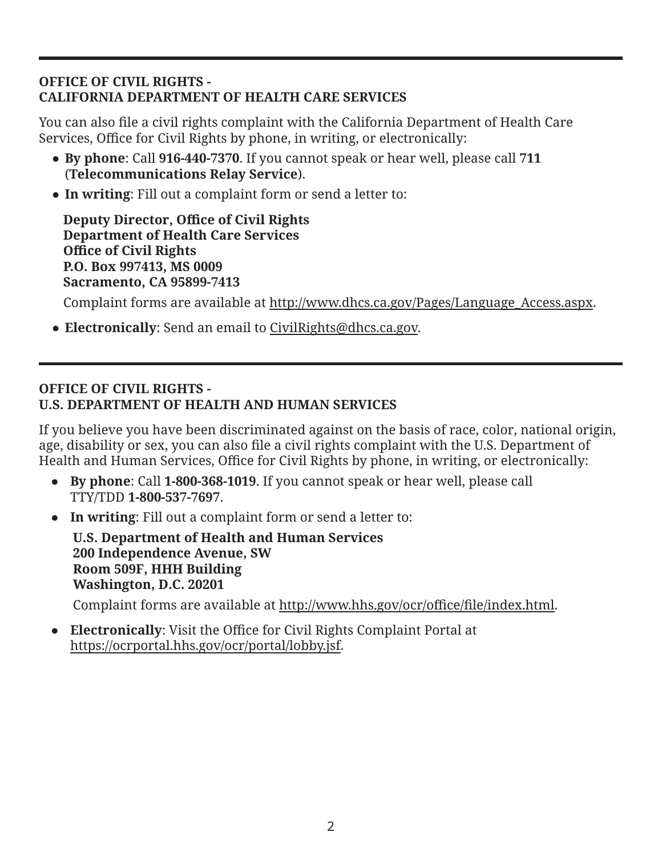### **OFFICE OF CIVIL RIGHTS - CALIFORNIA DEPARTMENT OF HEALTH CARE SERVICES**

You can also file a civil rights complaint with the California Department of Health Care Services, Office for Civil Rights by phone, in writing, or electronically:

- **By phone**: Call **916-440-7370**. If you cannot speak or hear well, please call **711** (**Telecommunications Relay Service**).
- **In writing**: Fill out a complaint form or send a letter to:

**Deputy Director, Office of Civil Rights Department of Health Care Services Office of Civil Rights P.O. Box 997413, MS 0009 Sacramento, CA 95899-7413**

Complaint forms are available at http://www.dhcs.ca.gov/Pages/Language\_Access.aspx.

● **Electronically**: Send an email to CivilRights@dhcs.ca.gov.

#### **OFFICE OF CIVIL RIGHTS - U.S. DEPARTMENT OF HEALTH AND HUMAN SERVICES**

If you believe you have been discriminated against on the basis of race, color, national origin, age, disability or sex, you can also file a civil rights complaint with the U.S. Department of Health and Human Services, Office for Civil Rights by phone, in writing, or electronically:

- **By phone**: Call **1-800-368-1019**. If you cannot speak or hear well, please call TTY/TDD **1 -800-537-7697**.
- **In writing**: Fill out a complaint form or send a letter to:

**U.S. Department of Health and Human Services 200 Independence Avenue, SW Room 509F, HHH Building Washington, D.C. 20201**

Complaint forms are available at http://www.hhs.gov/ocr/office/file/index.html.

**Electronically:** Visit the Office for Civil Rights Complaint Portal at https://ocrportal.hhs.gov/ocr/portal/lobby.jsf.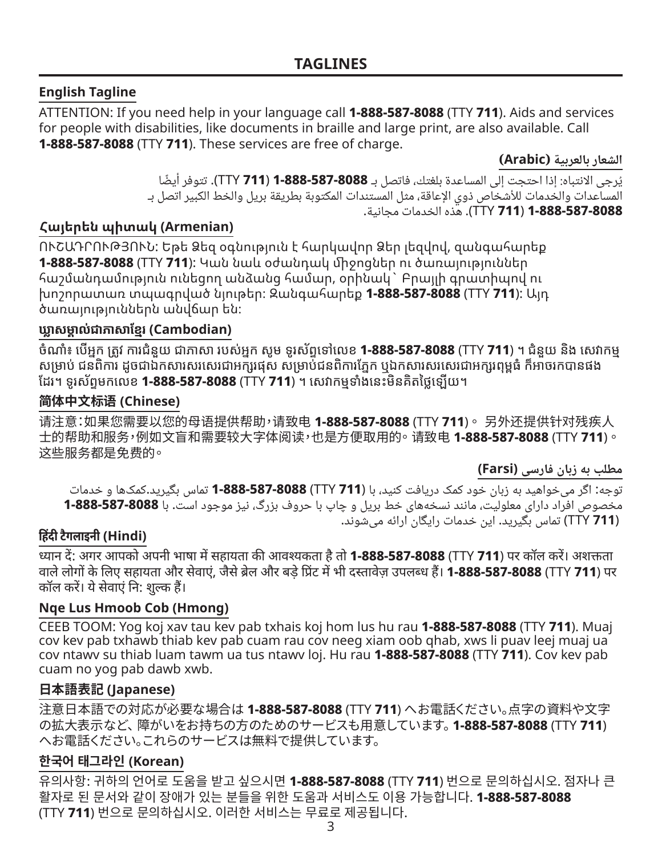### **English Tagline**

ATTENTION: If you need help in your language call **1-888-587-8088** (TTY **711**). Aids and services for people with disabilities, like documents in braille and large print, are also available. Call **1-888-587-8088** (TTY **711**). These services are free of charge.

**الشعار بالعربية )Arabic)**

ُيرجى االنتباه: إذا احتجت إلى المساعدة بلغتك، فاتصل بـ **1-888-587-8088** (**711** TTY(. ً تتوفر أيضا المساعدات والخدمات لألشخاص ذوي اإلعاقة، مثل المستندات المكتوبة بطريقة بريل والخط الكبير اتصل بـ **1-888-587-8088** (**711** TTY(. هذه الخدمات مجانية.

### **Հայերեն պիտակ (Armenian)**

ՈՒՇԱԴՐՈՒԹՅՈՒՆ: Եթե Ձեզ օգնություն է հարկավոր Ձեր լեզվով, զանգահարեք **1-888-587-8088** (TTY **711**): Կան նաև օժանդակ միջոցներ ու ծառայություններ հաշմանդամություն ունեցող անձանց համար, օրինակ` Բրայլի գրատիպով ու խոշորատառ տպագրված նյութեր։ Զանգահարեք **1-888-587-8088** (TTY **711**): Այդ ծառայություններն անվճար են։

#### **ឃ្លាា�សម្គាា�ល់់ជាាភាាសាាខ្មែ�ែរ (Cambodian)**

ចំណាំ៖ បើអ្នក ត្រូវ ការជំនួយ ជាភាសា របស់អ្នក សូម ទូរស័ព្ទទៅលេខ **1-888-587-8088** (TTY **711**) ។ ជំនួយ និង សេវាកម្ម សម្រាប់ ជនពិការ ដូចជាឯកសារសរសេរជាអក្សរផុស សម្រាប់់ជនពិការភ្នែក ឬឯកសារសរសេរជាអក្សរពុម្ពធំ ក៏អាចរកបានផង ដែរ។ ទូូរស័័ព្ទទមកលេ�ខ **1-888-587-8088** (TTY **711**) ។ សេវាាកម្មមទាំំងនេះះមិិនគិិតថ្លៃ�ៃឡើ�ើយ។

#### **简体中文标语 (Chinese)**

请注意:如果您需要以您的母语提供帮助,请致电 **1-888-587-8088** (TTY **711**)。 另外还提供针对残疾人 士的帮助和服务,例如文盲和需要较大字体阅读,也是方便取用的。 请致电 **1-888-587-8088** (TTY **711**)。 这些服务都是免费的。

**مطلب به زبان فارسی )Farsi)**

توجه: اگر میخواهید به زبان خود کمک دریافت کنید، با (**711** TTY (**1-888-587-8088** تماس بگیرید.کمکها و خدمات مخصوص افراد دارای معلولیت، مانند نسخههای خط بریل و چاپ با حروف بزرگ، نیز موجود است. با **1-888-587-8088** (**711** TTY (تماس بگیرید. این خدمات رایگان ارائه میشوند.

### **हिंदी टैगलाइनी (Hindi)**

ध्यान दें: अगर आपको अपनी भाषा में सहायता की आवश्यकता है तो **1-888-587-8088** (TTY **711**) पर कॉल करें। अशक्तता वाले लोगों के लिए सहायता और सेवाएं, जैसे ब्रेल और बड़े प्रिंट में भी दस्तावेज़ उपलब्ध हैं। **1-888-587-8088** (TTY **711**) पर कॉल करें। ये सेवाएं नि: शुल्क हैं।

#### **Nqe Lus Hmoob Cob (Hmong)**

CEEB TOOM: Yog koj xav tau kev pab txhais koj hom lus hu rau **1-888-587-8088** (TTY **711**). Muaj cov kev pab txhawb thiab kev pab cuam rau cov neeg xiam oob qhab, xws li puav leej muaj ua cov ntawv su thiab luam tawm ua tus ntawv loj. Hu rau **1-888-587-8088** (TTY **711**). Cov kev pab cuam no yog pab dawb xwb.

#### **日本語表記 (Japanese)**

注意日本語での対応が必要な場合は **1-888-587-8088** (TTY **711**) へお電話ください。点字の資料や文字 の拡大表示など、 障がいをお持ちの方のためのサービスも用意しています。 **1-888-587-8088** (TTY **711**) へお電話ください。これらのサービスは無料で提供しています。

#### **한국어 태그라인 (Korean)**

유의사항: 귀하의 언어로 도움을 받고 싶으시면 **1-888-587-8088** (TTY **711**) 번으로 문의하십시오. 점자나 큰 활자로 된 문서와 같이 장애가 있는 분들을 위한 도움과 서비스도 이용 가능합니다. **1-888-587-8088** (TTY **711**) 번으로 문의하십시오. 이러한 서비스는 무료로 제공됩니다.